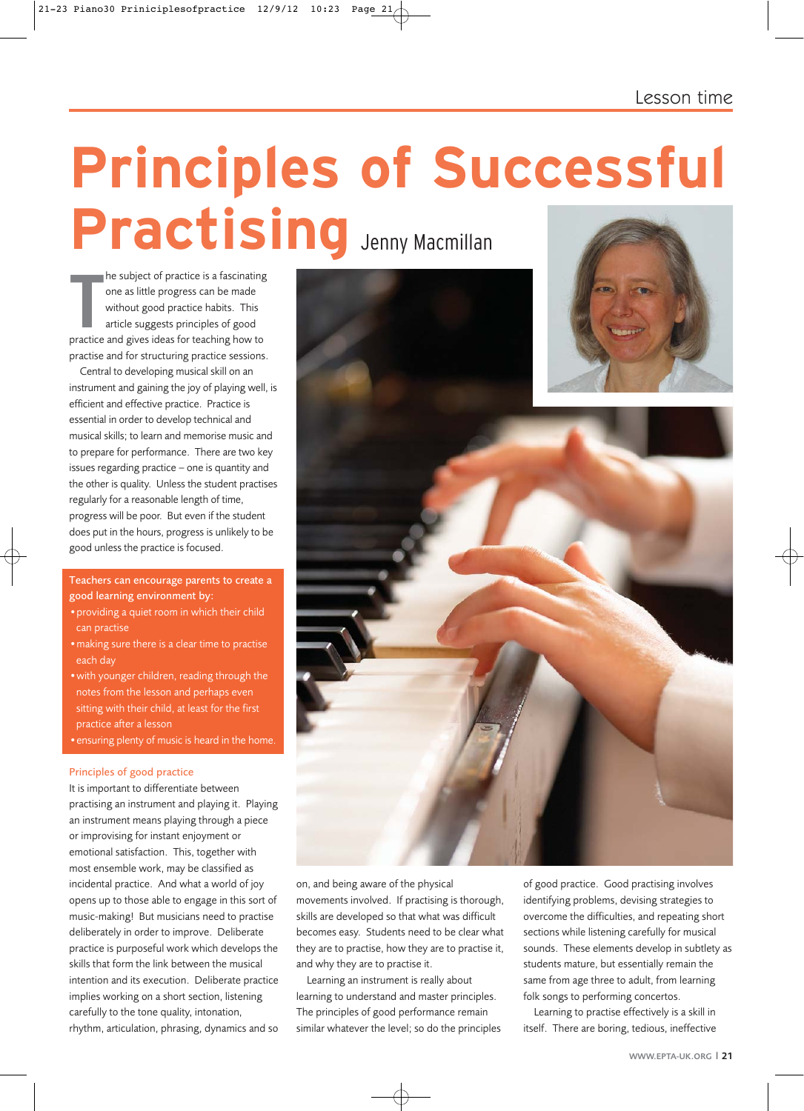Lesson time

# Practising **Accessible Contraction Provided to the subject of practice is a fascinating<br>
The subject of practice is a fascinating<br>
The subject of practice is a fascinating<br>
Suithout seed practice behits. This**

**The subject of practice is a fascinating**<br>
one as little progress can be made<br>
without good practice habits. This<br>
article suggests principles of good<br>
practice and gives ideas for teaching how to he subject of practice is a fascinating one as little progress can be made without good practice habits. This article suggests principles of good practise and for structuring practice sessions.

Central to developing musical skill on an instrument and gaining the joy of playing well, is efficient and effective practice. Practice is essential in order to develop technical and musical skills; to learn and memorise music and to prepare for performance. There are two key issues regarding practice – one is quantity and the other is quality. Unless the student practises regularly for a reasonable length of time, progress will be poor. But even if the student does put in the hours, progress is unlikely to be good unless the practice is focused.

Teachers can encourage parents to create a good learning environment by:

- •providing a quiet room in which their child can practise
- •making sure there is a clear time to practise each day
- •with younger children, reading through the notes from the lesson and perhaps even sitting with their child, at least for the first practice after a lesson

•ensuring plenty of music is heard in the home.

#### Principles of good practice

It is important to differentiate between practising an instrument and playing it. Playing an instrument means playing through a piece or improvising for instant enjoyment or emotional satisfaction. This, together with most ensemble work, may be classified as incidental practice. And what a world of joy opens up to those able to engage in this sort of music-making! But musicians need to practise deliberately in order to improve. Deliberate practice is purposeful work which develops the skills that form the link between the musical intention and its execution. Deliberate practice implies working on a short section, listening carefully to the tone quality, intonation, rhythm, articulation, phrasing, dynamics and so





on, and being aware of the physical movements involved. If practising is thorough, skills are developed so that what was difficult becomes easy. Students need to be clear what they are to practise, how they are to practise it, and why they are to practise it.

Learning an instrument is really about learning to understand and master principles. The principles of good performance remain similar whatever the level; so do the principles of good practice. Good practising involves identifying problems, devising strategies to overcome the difficulties, and repeating short sections while listening carefully for musical sounds. These elements develop in subtlety as students mature, but essentially remain the same from age three to adult, from learning folk songs to performing concertos.

Learning to practise effectively is a skill in itself. There are boring, tedious, ineffective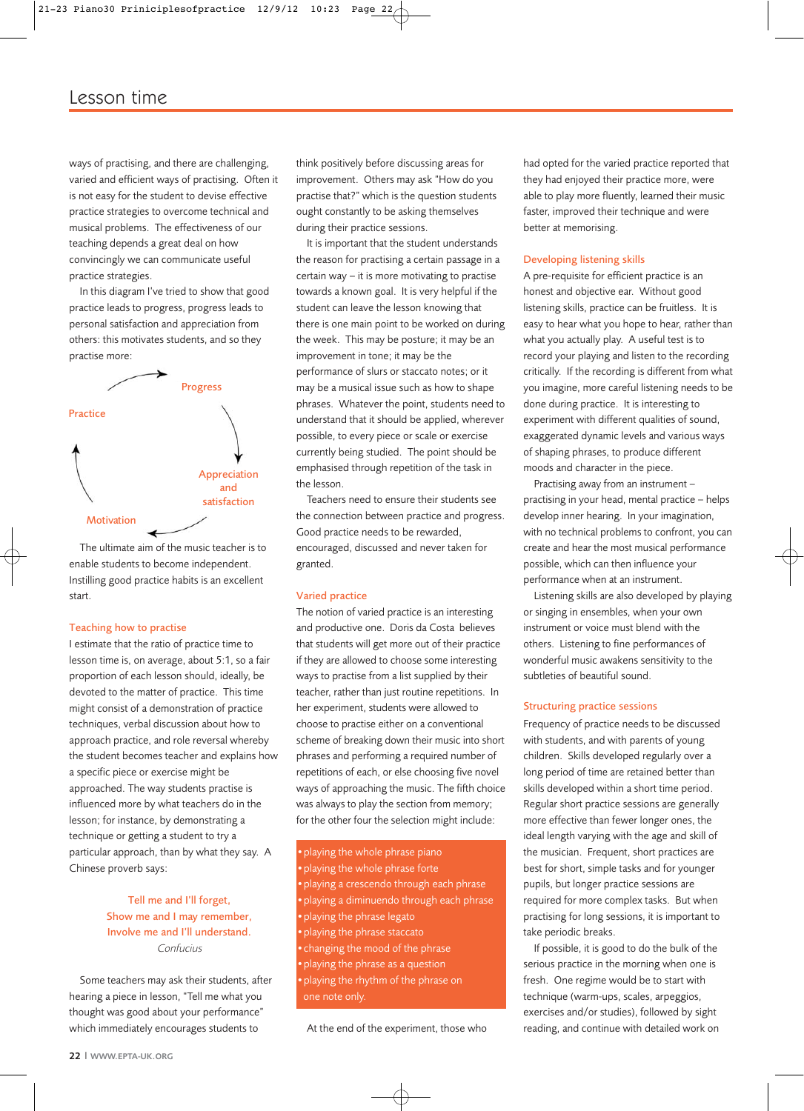# Lesson time

ways of practising, and there are challenging, varied and efficient ways of practising. Often it is not easy for the student to devise effective practice strategies to overcome technical and musical problems. The effectiveness of our teaching depends a great deal on how convincingly we can communicate useful practice strategies.

In this diagram I've tried to show that good practice leads to progress, progress leads to personal satisfaction and appreciation from others: this motivates students, and so they practise more:



The ultimate aim of the music teacher is to enable students to become independent. Instilling good practice habits is an excellent start.

#### Teaching how to practise

I estimate that the ratio of practice time to lesson time is, on average, about 5:1, so a fair proportion of each lesson should, ideally, be devoted to the matter of practice. This time might consist of a demonstration of practice techniques, verbal discussion about how to approach practice, and role reversal whereby the student becomes teacher and explains how a specific piece or exercise might be approached. The way students practise is influenced more by what teachers do in the lesson; for instance, by demonstrating a technique or getting a student to try a particular approach, than by what they say. A Chinese proverb says:

## Tell me and I'll forget, Show me and I may remember, Involve me and I'll understand. Confucius

Some teachers may ask their students, after hearing a piece in lesson, "Tell me what you thought was good about your performance" which immediately encourages students to

think positively before discussing areas for improvement. Others may ask "How do you practise that?" which is the question students ought constantly to be asking themselves during their practice sessions.

It is important that the student understands the reason for practising a certain passage in a certain way – it is more motivating to practise towards a known goal. It is very helpful if the student can leave the lesson knowing that there is one main point to be worked on during the week. This may be posture; it may be an improvement in tone; it may be the performance of slurs or staccato notes; or it may be a musical issue such as how to shape phrases. Whatever the point, students need to understand that it should be applied, wherever possible, to every piece or scale or exercise currently being studied. The point should be emphasised through repetition of the task in the lesson.

Teachers need to ensure their students see the connection between practice and progress. Good practice needs to be rewarded, encouraged, discussed and never taken for granted.

#### Varied practice

The notion of varied practice is an interesting and productive one. Doris da Costa believes that students will get more out of their practice if they are allowed to choose some interesting ways to practise from a list supplied by their teacher, rather than just routine repetitions. In her experiment, students were allowed to choose to practise either on a conventional scheme of breaking down their music into short phrases and performing a required number of repetitions of each, or else choosing five novel ways of approaching the music. The fifth choice was always to play the section from memory; for the other four the selection might include:

•playing the whole phrase piano •playing the whole phrase forte •playing a crescendo through each phrase •playing a diminuendo through each phrase •playing the phrase legato •playing the phrase staccato •changing the mood of the phrase •playing the phrase as a question •playing the rhythm of the phrase on one note only.

At the end of the experiment, those who

had opted for the varied practice reported that they had enjoyed their practice more, were able to play more fluently, learned their music faster, improved their technique and were better at memorising.

#### Developing listening skills

A pre-requisite for efficient practice is an honest and objective ear. Without good listening skills, practice can be fruitless. It is easy to hear what you hope to hear, rather than what you actually play. A useful test is to record your playing and listen to the recording critically. If the recording is different from what you imagine, more careful listening needs to be done during practice. It is interesting to experiment with different qualities of sound, exaggerated dynamic levels and various ways of shaping phrases, to produce different moods and character in the piece.

Practising away from an instrument – practising in your head, mental practice – helps develop inner hearing. In your imagination, with no technical problems to confront, you can create and hear the most musical performance possible, which can then influence your performance when at an instrument.

Listening skills are also developed by playing or singing in ensembles, when your own instrument or voice must blend with the others. Listening to fine performances of wonderful music awakens sensitivity to the subtleties of beautiful sound.

#### Structuring practice sessions

Frequency of practice needs to be discussed with students, and with parents of young children. Skills developed regularly over a long period of time are retained better than skills developed within a short time period. Regular short practice sessions are generally more effective than fewer longer ones, the ideal length varying with the age and skill of the musician. Frequent, short practices are best for short, simple tasks and for younger pupils, but longer practice sessions are required for more complex tasks. But when practising for long sessions, it is important to take periodic breaks.

If possible, it is good to do the bulk of the serious practice in the morning when one is fresh. One regime would be to start with technique (warm-ups, scales, arpeggios, exercises and/or studies), followed by sight reading, and continue with detailed work on